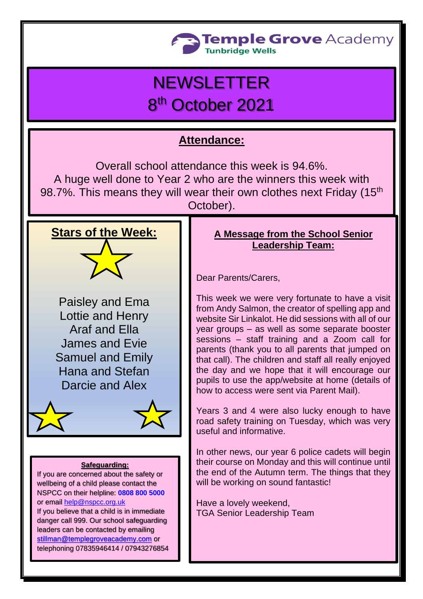

# NEWSLETTER 8<sup>th</sup> October 2021

### **Attendance:**

Overall school attendance this week is 94.6%. A huge well done to Year 2 who are the winners this week with 98.7%. This means they will wear their own clothes next Friday (15<sup>th</sup>) October).



Paisley and Ema Lottie and Henry Araf and Ella James and Evie Samuel and Emily Hana and Stefan Darcie and Alex



#### **Safeguarding:**

If you are concerned about the safety or wellbeing of a child please contact the NSPCC on their helpline: **[0808 800 5000](tel:08088005000)** or email [help@nspcc.org.uk](mailto:help@nspcc.org.uk) If you believe that a child is in immediate danger call 999. Our school safeguarding leaders can be contacted by emailing [stillman@templegroveacademy.com](mailto:stillman@templegroveacademy.com) or telephoning 07835946414 / 07943276854

### **A Message from the School Senior Leadership Team:**

Dear Parents/Carers,

This week we were very fortunate to have a visit from Andy Salmon, the creator of spelling app and website Sir Linkalot. He did sessions with all of our year groups – as well as some separate booster sessions – staff training and a Zoom call for parents (thank you to all parents that jumped on that call). The children and staff all really enjoyed the day and we hope that it will encourage our pupils to use the app/website at home (details of how to access were sent via Parent Mail).

Years 3 and 4 were also lucky enough to have road safety training on Tuesday, which was very useful and informative.

In other news, our year 6 police cadets will begin their course on Monday and this will continue until the end of the Autumn term. The things that they will be working on sound fantastic!

Have a lovely weekend, TGA Senior Leadership Team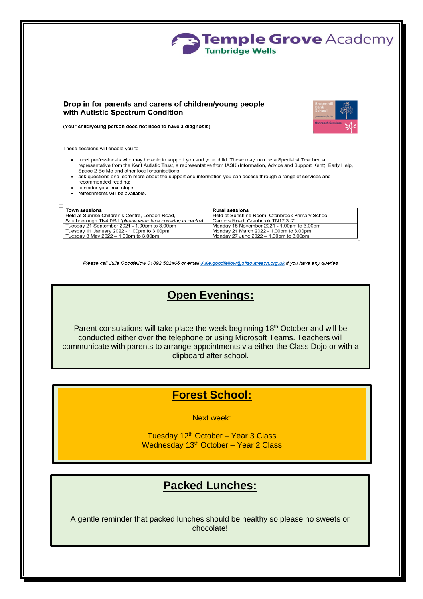

#### Drop in for parents and carers of children/young people with Autistic Spectrum Condition



(Your child/young person does not need to have a diagnosis)

These sessions will enable you to

- meet professionals who may be able to support you and your child. These may include a Specialist Teacher, a representative from the Kent Autistic Trust, a representative from IASK (Information, Advice and Support Kent), Early Help, Space 2 Be Me and other local organisations;
- ask questions and learn more about the support and information you can access through a range of services and recommended reading;
- consider your next steps;
- refreshments will be available.

| <b>Town sessions</b>                                       | <b>Rural sessions</b>                            |
|------------------------------------------------------------|--------------------------------------------------|
| Held at Sunrise Children's Centre, London Road.            | Held at Sunshine Room, Cranbrook Primary School, |
| Southborough TN4 0RJ (please wear face covering in centre) | Carriers Road, Cranbrook TN17 3JZ                |
| Tuesday 21 September 2021 - 1.00pm to 3.00pm               | Monday 15 November 2021 - 1.00pm to 3.00pm       |
| Tuesday 11 January 2022 - 1.00pm to 3.00pm                 | Monday 21 March 2022 - 1.00pm to 3.00pm          |
| Tuesday 3 May 2022 $-$ 1.00pm to 3.00pm                    | Monday 27 June 2022 – 1.00pm to 3.00pm           |

Please call Julie Goodfellow 01892 502466 or email Julie.goodfellow@stlsoutreach.org.uk if you have any queries

### **Open Evenings:**

Parent consulations will take place the week beginning 18<sup>th</sup> October and will be conducted either over the telephone or using Microsoft Teams. Teachers will communicate with parents to arrange appointments via either the Class Dojo or with a clipboard after school.

### **Forest School:**

Next week:

Tuesday 12<sup>th</sup> October - Year 3 Class Wednesday 13<sup>th</sup> October - Year 2 Class

### **Packed Lunches:**

A gentle reminder that packed lunches should be healthy so please no sweets or chocolate!